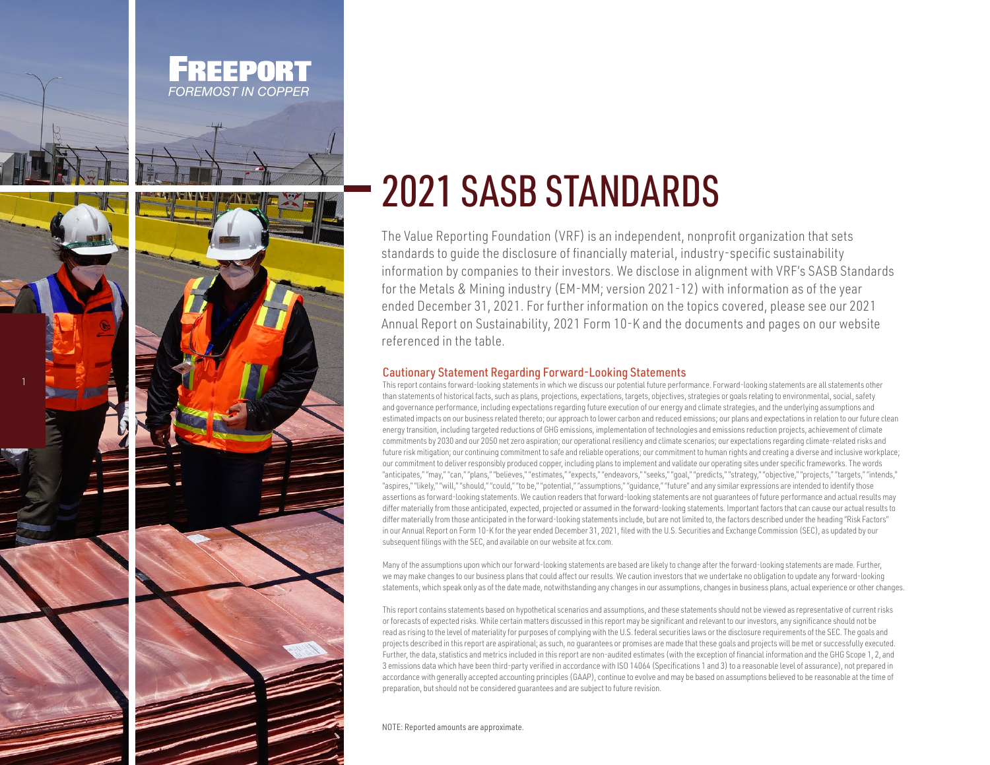



## 2021 SASB STANDARDS

The Value Reporting Foundation (VRF) is an independent, nonprofit organization that sets standards to guide the disclosure of financially material, industry-specific sustainability information by companies to their investors. We disclose in alignment with VRF's SASB Standards for the Metals & Mining industry (EM-MM; version 2021-12) with information as of the year ended December 31, 2021. For further information on the topics covered, please see our 2021 Annual Report on Sustainability, 2021 Form 10-K and the documents and pages on our website referenced in the table.

## Cautionary Statement Regarding Forward-Looking Statements

This report contains forward-looking statements in which we discuss our potential future performance. Forward-looking statements are all statements other than statements of historical facts, such as plans, projections, expectations, targets, objectives, strategies or goals relating to environmental, social, safety and governance performance, including expectations regarding future execution of our energy and climate strategies, and the underlying assumptions and estimated impacts on our business related thereto; our approach to lower carbon and reduced emissions; our plans and expectations in relation to our future clean energy transition, including targeted reductions of GHG emissions, implementation of technologies and emissions reduction projects, achievement of climate commitments by 2030 and our 2050 net zero aspiration; our operational resiliency and climate scenarios; our expectations regarding climate-related risks and future risk mitigation; our continuing commitment to safe and reliable operations; our commitment to human rights and creating a diverse and inclusive workplace; our commitment to deliver responsibly produced copper, including plans to implement and validate our operating sites under specific frameworks. The words "anticipates," "may," "can," "plans," "believes," "estimates," "expects," "endeavors," "seeks," "goal," "predicts," "strategy," "objective," "projects," "targets," "intends," "aspires," "likely," "will," "should," "could," "to be," "potential," "assumptions," "quidance," "future" and any similar expressions are intended to identify those assertions as forward-looking statements. We caution readers that forward-looking statements are not guarantees of future performance and actual results may differ materially from those anticipated, expected, projected or assumed in the forward-looking statements. Important factors that can cause our actual results to differ materially from those anticipated in the forward-looking statements include, but are not limited to, the factors described under the heading "Risk Factors" in our Annual Report on Form 10-K for the year ended December 31, 2021, filed with the U.S. Securities and Exchange Commission (SEC), as updated by our subsequent filings with the SEC, and available on our website at fcx.com.

Many of the assumptions upon which our forward-looking statements are based are likely to change after the forward-looking statements are made. Further, we may make changes to our business plans that could affect our results. We caution investors that we undertake no obligation to update any forward-looking statements, which speak only as of the date made, notwithstanding any changes in our assumptions, changes in business plans, actual experience or other changes.

This report contains statements based on hypothetical scenarios and assumptions, and these statements should not be viewed as representative of current risks or forecasts of expected risks. While certain matters discussed in this report may be significant and relevant to our investors, any significance should not be read as rising to the level of materiality for purposes of complying with the U.S. federal securities laws or the disclosure requirements of the SEC. The goals and projects described in this report are aspirational; as such, no guarantees or promises are made that these goals and projects will be met or successfully executed. Further, the data, statistics and metrics included in this report are non-audited estimates (with the exception of financial information and the GHG Scope 1, 2, and 3 emissions data which have been third-party verified in accordance with ISO 14064 (Specifications 1 and 3) to a reasonable level of assurance), not prepared in accordance with generally accepted accounting principles (GAAP), continue to evolve and may be based on assumptions believed to be reasonable at the time of preparation, but should not be considered guarantees and are subject to future revision.

NOTE: Reported amounts are approximate.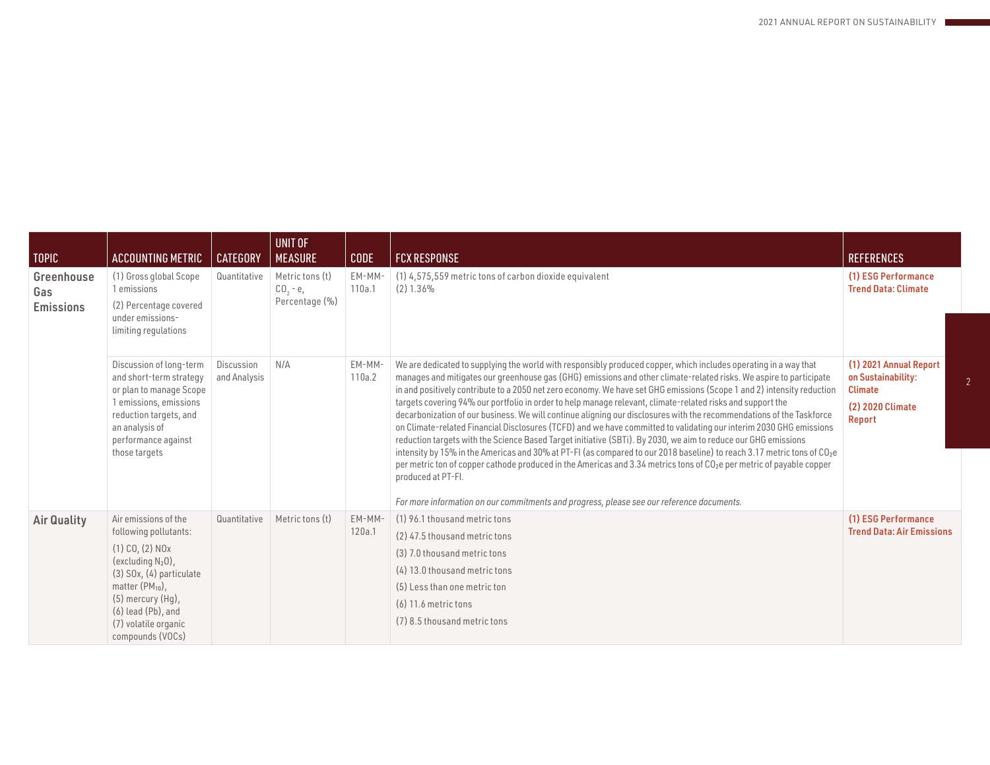| <b>TOPIC</b>                          | <b>ACCOUNTING METRIC</b>                                                                                                                                                                                                                                                       | <b>CATEGORY</b>            | UNIT OF<br><b>MEASURE</b>                      | <b>CODE</b>      | <b>FCX RESPONSE</b>                                                                                                                                                                                                                                                                                                                                                                                                                                                                                                                                                                                                                                                                                                                                                                                                                                                                                                                                                                                                                                                                                                                                                                                                                           | <b>REFERENCES</b>                                                                                   |
|---------------------------------------|--------------------------------------------------------------------------------------------------------------------------------------------------------------------------------------------------------------------------------------------------------------------------------|----------------------------|------------------------------------------------|------------------|-----------------------------------------------------------------------------------------------------------------------------------------------------------------------------------------------------------------------------------------------------------------------------------------------------------------------------------------------------------------------------------------------------------------------------------------------------------------------------------------------------------------------------------------------------------------------------------------------------------------------------------------------------------------------------------------------------------------------------------------------------------------------------------------------------------------------------------------------------------------------------------------------------------------------------------------------------------------------------------------------------------------------------------------------------------------------------------------------------------------------------------------------------------------------------------------------------------------------------------------------|-----------------------------------------------------------------------------------------------------|
| Greenhouse<br>Gas<br><b>Emissions</b> | (1) Gross global Scope<br>1 emissions<br>(2) Percentage covered<br>under emissions-<br>limiting regulations                                                                                                                                                                    | Quantitative               | Metric tons (t)<br>$CO, -e,$<br>Percentage (%) | EM-MM-<br>110a.1 | (1) 4,575,559 metric tons of carbon dioxide equivalent<br>(2) 1.36%                                                                                                                                                                                                                                                                                                                                                                                                                                                                                                                                                                                                                                                                                                                                                                                                                                                                                                                                                                                                                                                                                                                                                                           | (1) ESG Performance<br><b>Trend Data: Climate</b>                                                   |
|                                       | Discussion of long-term<br>and short-term strategy<br>or plan to manage Scope<br>1 emissions, emissions<br>reduction targets, and<br>an analysis of<br>performance against<br>those targets                                                                                    | Discussion<br>and Analysis | N/A                                            | EM-MM-<br>110a.2 | We are dedicated to supplying the world with responsibly produced copper, which includes operating in a way that<br>manages and mitigates our greenhouse gas (GHG) emissions and other climate-related risks. We aspire to participate<br>in and positively contribute to a 2050 net zero economy. We have set GHG emissions (Scope 1 and 2) intensity reduction<br>targets covering 94% our portfolio in order to help manage relevant, climate-related risks and support the<br>decarbonization of our business. We will continue aligning our disclosures with the recommendations of the Taskforce<br>on Climate-related Financial Disclosures (TCFD) and we have committed to validating our interim 2030 GHG emissions<br>reduction targets with the Science Based Target initiative (SBTi). By 2030, we aim to reduce our GHG emissions<br>intensity by 15% in the Americas and 30% at PT-FI (as compared to our 2018 baseline) to reach 3.17 metric tons of CO <sub>2</sub> e<br>per metric ton of copper cathode produced in the Americas and 3.34 metrics tons of CO <sub>2</sub> e per metric of payable copper<br>produced at PT-FI.<br>For more information on our commitments and progress, please see our reference documents. | (1) 2021 Annual Report<br>on Sustainability:<br><b>Climate</b><br>(2) 2020 Climate<br><b>Report</b> |
| <b>Air Quality</b>                    | Air emissions of the<br>following pollutants:<br>$(1)$ CO, $(2)$ NO <sub>x</sub><br>(excluding $N_2$ 0),<br>$(3)$ SO <sub>x</sub> , $(4)$ particulate<br>matter $(PM_{10})$ ,<br>$(5)$ mercury $(Hg)$ ,<br>$(6)$ lead $(Pb)$ , and<br>(7) volatile organic<br>compounds (VOCs) | Quantitative               | Metric tons (t)                                | EM-MM-<br>120a.1 | (1) 96.1 thousand metric tons<br>(2) 47.5 thousand metric tons<br>(3) 7.0 thousand metric tons<br>(4) 13.0 thousand metric tons<br>(5) Less than one metric ton<br>$(6)$ 11.6 metric tons<br>(7) 8.5 thousand metric tons                                                                                                                                                                                                                                                                                                                                                                                                                                                                                                                                                                                                                                                                                                                                                                                                                                                                                                                                                                                                                     | (1) ESG Performance<br><b>Trend Data: Air Emissions</b>                                             |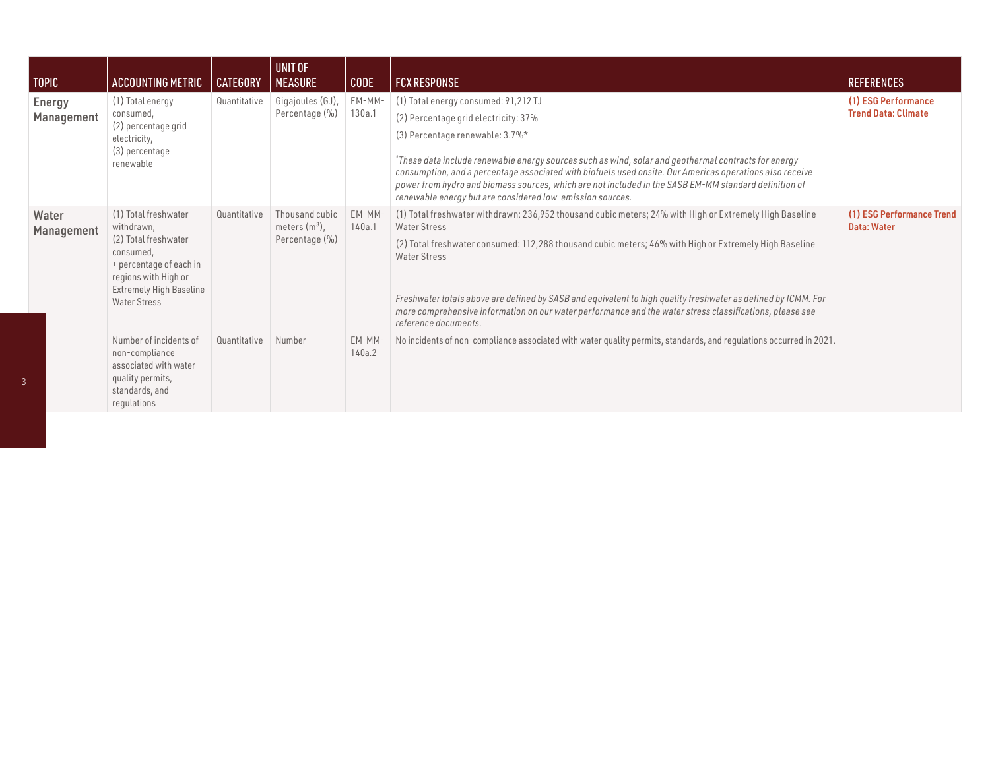| <b>TOPIC</b>                | ACCOUNTING METRIC                                                                                                                                                                   | <b>CATEGORY</b> | UNIT OF<br><b>MEASURE</b>                            | <b>CODE</b>      | <b>FCX RESPONSE</b>                                                                                                                                                                                                                                                                                                                                                                                                                                                                                           | <b>REFERENCES</b>                                 |
|-----------------------------|-------------------------------------------------------------------------------------------------------------------------------------------------------------------------------------|-----------------|------------------------------------------------------|------------------|---------------------------------------------------------------------------------------------------------------------------------------------------------------------------------------------------------------------------------------------------------------------------------------------------------------------------------------------------------------------------------------------------------------------------------------------------------------------------------------------------------------|---------------------------------------------------|
| <b>Energy</b><br>Management | (1) Total energy<br>consumed,<br>(2) percentage grid<br>electricity,<br>(3) percentage<br>renewable                                                                                 | Quantitative    | Gigajoules (GJ),<br>Percentage (%)                   | EM-MM-<br>130a.1 | (1) Total energy consumed: 91,212 TJ<br>(2) Percentage grid electricity: 37%<br>(3) Percentage renewable: 3.7%*<br>*These data include renewable energy sources such as wind, solar and geothermal contracts for energy<br>consumption, and a percentage associated with biofuels used onsite. Our Americas operations also receive<br>power from hydro and biomass sources, which are not included in the SASB EM-MM standard definition of<br>renewable energy but are considered low-emission sources.     | (1) ESG Performance<br><b>Trend Data: Climate</b> |
| Water<br>Management         | (1) Total freshwater<br>withdrawn,<br>(2) Total freshwater<br>consumed,<br>+ percentage of each in<br>regions with High or<br><b>Extremely High Baseline</b><br><b>Water Stress</b> | Quantitative    | Thousand cubic<br>meters $(m^3)$ ,<br>Percentage (%) | EM-MM-<br>140a.1 | (1) Total freshwater withdrawn: 236,952 thousand cubic meters; 24% with High or Extremely High Baseline<br>Water Stress<br>(2) Total freshwater consumed: 112,288 thousand cubic meters; 46% with High or Extremely High Baseline<br><b>Water Stress</b><br>Freshwater totals above are defined by SASB and equivalent to high quality freshwater as defined by ICMM. For<br>more comprehensive information on our water performance and the water stress classifications, please see<br>reference documents. | (1) ESG Performance Trend<br>Data: Water          |
|                             | Number of incidents of<br>non-compliance<br>associated with water<br>quality permits,<br>standards, and<br>regulations                                                              | Quantitative    | Number                                               | EM-MM-<br>140a.2 | No incidents of non-compliance associated with water quality permits, standards, and regulations occurred in 2021.                                                                                                                                                                                                                                                                                                                                                                                            |                                                   |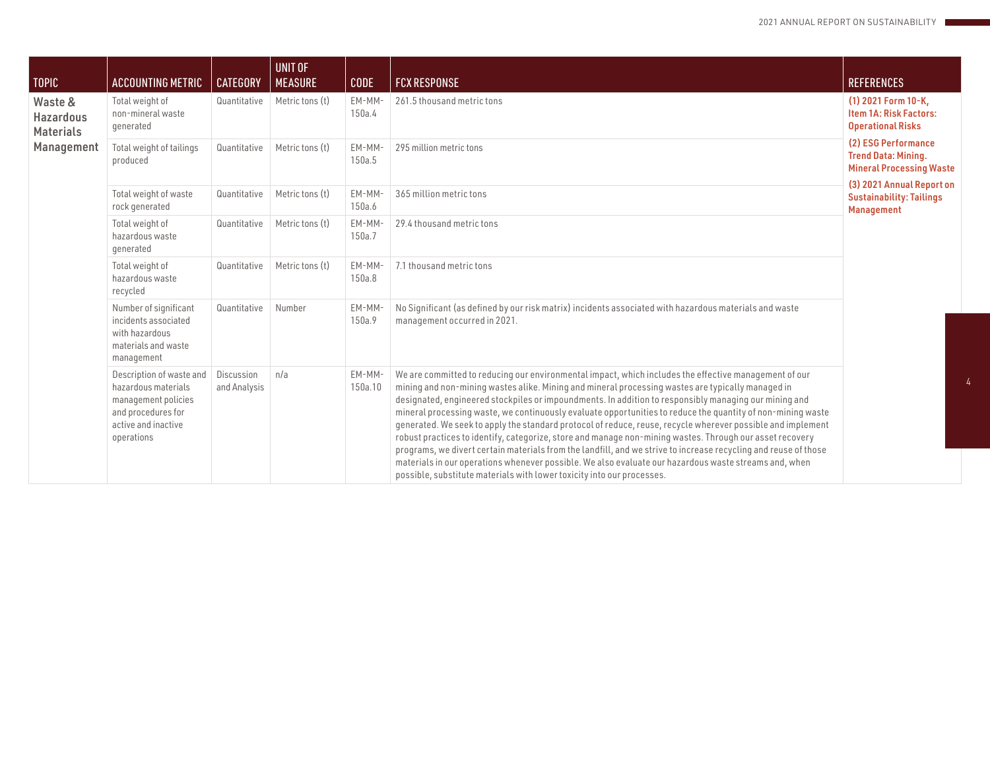| <b>TOPIC</b>                                                  | ACCOUNTING METRIC                                                                                                                 | <b>CATEGORY</b>            | UNIT OF<br><b>MEASURE</b> | <b>CODE</b>       | <b>FCX RESPONSE</b>                                                                                                                                                                                                                                                                                                                                                                                                                                                                                                                                                                                                                                                                                                                                                                                                                                                                                                                                                 | <b>REFERENCES</b>                                                                    |
|---------------------------------------------------------------|-----------------------------------------------------------------------------------------------------------------------------------|----------------------------|---------------------------|-------------------|---------------------------------------------------------------------------------------------------------------------------------------------------------------------------------------------------------------------------------------------------------------------------------------------------------------------------------------------------------------------------------------------------------------------------------------------------------------------------------------------------------------------------------------------------------------------------------------------------------------------------------------------------------------------------------------------------------------------------------------------------------------------------------------------------------------------------------------------------------------------------------------------------------------------------------------------------------------------|--------------------------------------------------------------------------------------|
| Waste &<br><b>Hazardous</b><br><b>Materials</b><br>Management | Total weight of<br>non-mineral waste<br>generated                                                                                 | Quantitative               | Metric tons (t)           | EM-MM-<br>150a.4  | 261.5 thousand metric tons                                                                                                                                                                                                                                                                                                                                                                                                                                                                                                                                                                                                                                                                                                                                                                                                                                                                                                                                          | (1) 2021 Form 10-K,<br>Item 1A: Risk Factors:<br><b>Operational Risks</b>            |
|                                                               | Total weight of tailings<br>produced                                                                                              | Quantitative               | Metric tons (t)           | EM-MM-<br>150a.5  | 295 million metric tons                                                                                                                                                                                                                                                                                                                                                                                                                                                                                                                                                                                                                                                                                                                                                                                                                                                                                                                                             | (2) ESG Performance<br><b>Trend Data: Mining.</b><br><b>Mineral Processing Waste</b> |
|                                                               | Total weight of waste<br>rock generated                                                                                           | Quantitative               | Metric tons (t)           | EM-MM-<br>150a.6  | 365 million metric tons                                                                                                                                                                                                                                                                                                                                                                                                                                                                                                                                                                                                                                                                                                                                                                                                                                                                                                                                             | (3) 2021 Annual Report on<br><b>Sustainability: Tailings</b><br><b>Management</b>    |
|                                                               | Total weight of<br>hazardous waste<br>generated                                                                                   | Quantitative               | Metric tons (t)           | EM-MM<br>150a.7   | 29.4 thousand metric tons                                                                                                                                                                                                                                                                                                                                                                                                                                                                                                                                                                                                                                                                                                                                                                                                                                                                                                                                           |                                                                                      |
|                                                               | Total weight of<br>hazardous waste<br>recycled                                                                                    | Quantitative               | Metric tons (t)           | EM-MM-<br>150a.8  | 7.1 thousand metric tons                                                                                                                                                                                                                                                                                                                                                                                                                                                                                                                                                                                                                                                                                                                                                                                                                                                                                                                                            |                                                                                      |
|                                                               | Number of significant<br>incidents associated<br>with hazardous<br>materials and waste<br>management                              | Quantitative               | Number                    | EM-MM<br>150a.9   | No Significant (as defined by our risk matrix) incidents associated with hazardous materials and waste<br>management occurred in 2021.                                                                                                                                                                                                                                                                                                                                                                                                                                                                                                                                                                                                                                                                                                                                                                                                                              |                                                                                      |
|                                                               | Description of waste and<br>hazardous materials<br>management policies<br>and procedures for<br>active and inactive<br>operations | Discussion<br>and Analysis | n/a                       | EM-MM-<br>150a.10 | We are committed to reducing our environmental impact, which includes the effective management of our<br>mining and non-mining wastes alike. Mining and mineral processing wastes are typically managed in<br>designated, engineered stockpiles or impoundments. In addition to responsibly managing our mining and<br>mineral processing waste, we continuously evaluate opportunities to reduce the quantity of non-mining waste<br>generated. We seek to apply the standard protocol of reduce, reuse, recycle wherever possible and implement<br>robust practices to identify, categorize, store and manage non-mining wastes. Through our asset recovery<br>programs, we divert certain materials from the landfill, and we strive to increase recycling and reuse of those<br>materials in our operations whenever possible. We also evaluate our hazardous waste streams and, when<br>possible, substitute materials with lower toxicity into our processes. |                                                                                      |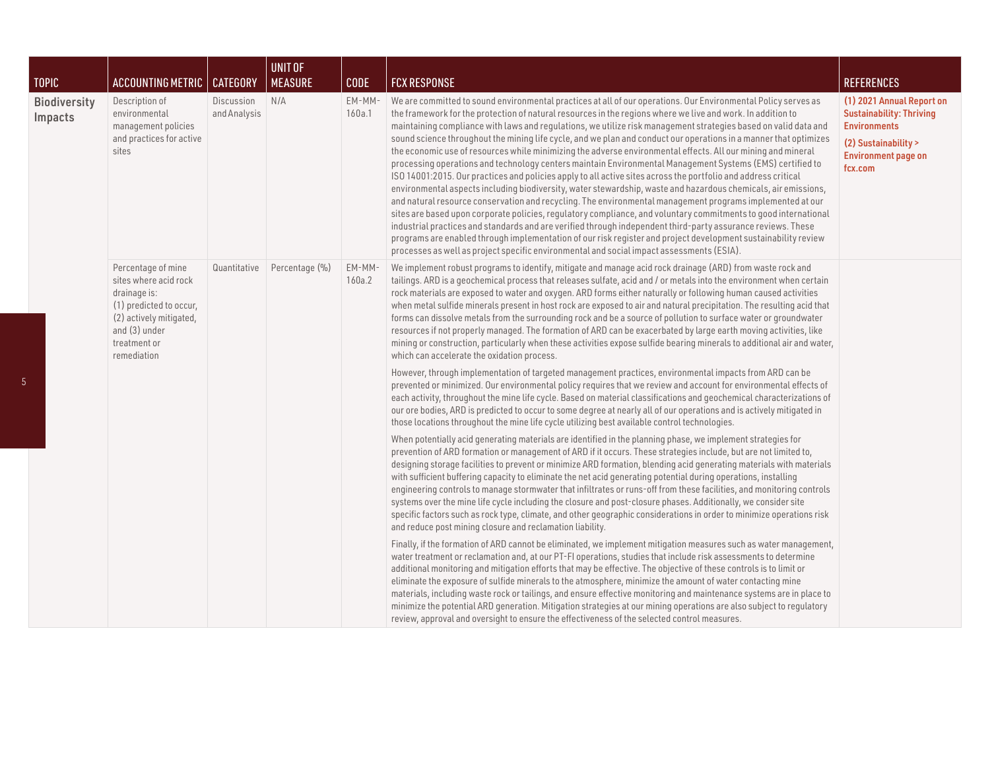| <b>TOPIC</b>                   | <b>ACCOUNTING METRIC   CATEGORY</b>                                                                                                                               |                            | UNIT OF<br><b>MEASURE</b> | <b>CODE</b>      | <b>FCX RESPONSE</b>                                                                                                                                                                                                                                                                                                                                                                                                                                                                                                                                                                                                                                                                                                                                                                                                                                                                                                                                                                                                                                                                                                                                                                                                                                                                                                                                                                                                                                                                                   | <b>REFERENCES</b>                                                                                                                                    |
|--------------------------------|-------------------------------------------------------------------------------------------------------------------------------------------------------------------|----------------------------|---------------------------|------------------|-------------------------------------------------------------------------------------------------------------------------------------------------------------------------------------------------------------------------------------------------------------------------------------------------------------------------------------------------------------------------------------------------------------------------------------------------------------------------------------------------------------------------------------------------------------------------------------------------------------------------------------------------------------------------------------------------------------------------------------------------------------------------------------------------------------------------------------------------------------------------------------------------------------------------------------------------------------------------------------------------------------------------------------------------------------------------------------------------------------------------------------------------------------------------------------------------------------------------------------------------------------------------------------------------------------------------------------------------------------------------------------------------------------------------------------------------------------------------------------------------------|------------------------------------------------------------------------------------------------------------------------------------------------------|
| <b>Biodiversity</b><br>Impacts | Description of<br>environmental<br>management policies<br>and practices for active<br>sites                                                                       | Discussion<br>and Analysis | N/A                       | EM-MM-<br>160a.1 | We are committed to sound environmental practices at all of our operations. Our Environmental Policy serves as<br>the framework for the protection of natural resources in the regions where we live and work. In addition to<br>maintaining compliance with laws and regulations, we utilize risk management strategies based on valid data and<br>sound science throughout the mining life cycle, and we plan and conduct our operations in a manner that optimizes<br>the economic use of resources while minimizing the adverse environmental effects. All our mining and mineral<br>processing operations and technology centers maintain Environmental Management Systems (EMS) certified to<br>ISO 14001:2015. Our practices and policies apply to all active sites across the portfolio and address critical<br>environmental aspects including biodiversity, water stewardship, waste and hazardous chemicals, air emissions,<br>and natural resource conservation and recycling. The environmental management programs implemented at our<br>sites are based upon corporate policies, requlatory compliance, and voluntary commitments to good international<br>industrial practices and standards and are verified through independent third-party assurance reviews. These<br>programs are enabled through implementation of our risk register and project development sustainability review<br>processes as well as project specific environmental and social impact assessments (ESIA). | (1) 2021 Annual Report on<br><b>Sustainability: Thriving</b><br><b>Environments</b><br>(2) Sustainability ><br><b>Environment page on</b><br>fcx.com |
|                                | Percentage of mine<br>sites where acid rock<br>drainage is:<br>(1) predicted to occur,<br>(2) actively mitigated,<br>and (3) under<br>treatment or<br>remediation | Quantitative               | Percentage (%)            | EM-MM-<br>160a.2 | We implement robust programs to identify, mitigate and manage acid rock drainage (ARD) from waste rock and<br>tailings. ARD is a geochemical process that releases sulfate, acid and / or metals into the environment when certain<br>rock materials are exposed to water and oxygen. ARD forms either naturally or following human caused activities<br>when metal sulfide minerals present in host rock are exposed to air and natural precipitation. The resulting acid that<br>forms can dissolve metals from the surrounding rock and be a source of pollution to surface water or groundwater<br>resources if not properly managed. The formation of ARD can be exacerbated by large earth moving activities, like<br>mining or construction, particularly when these activities expose sulfide bearing minerals to additional air and water,<br>which can accelerate the oxidation process.                                                                                                                                                                                                                                                                                                                                                                                                                                                                                                                                                                                                    |                                                                                                                                                      |
|                                |                                                                                                                                                                   |                            |                           |                  | However, through implementation of targeted management practices, environmental impacts from ARD can be<br>prevented or minimized. Our environmental policy requires that we review and account for environmental effects of<br>each activity, throughout the mine life cycle. Based on material classifications and geochemical characterizations of<br>our ore bodies, ARD is predicted to occur to some degree at nearly all of our operations and is actively mitigated in<br>those locations throughout the mine life cycle utilizing best available control technologies.                                                                                                                                                                                                                                                                                                                                                                                                                                                                                                                                                                                                                                                                                                                                                                                                                                                                                                                       |                                                                                                                                                      |
|                                |                                                                                                                                                                   |                            |                           |                  | When potentially acid generating materials are identified in the planning phase, we implement strategies for<br>prevention of ARD formation or management of ARD if it occurs. These strategies include, but are not limited to,<br>designing storage facilities to prevent or minimize ARD formation, blending acid generating materials with materials<br>with sufficient buffering capacity to eliminate the net acid generating potential during operations, installing<br>engineering controls to manage stormwater that infiltrates or runs-off from these facilities, and monitoring controls<br>systems over the mine life cycle including the closure and post-closure phases. Additionally, we consider site<br>specific factors such as rock type, climate, and other geographic considerations in order to minimize operations risk<br>and reduce post mining closure and reclamation liability.                                                                                                                                                                                                                                                                                                                                                                                                                                                                                                                                                                                          |                                                                                                                                                      |
|                                |                                                                                                                                                                   |                            |                           |                  | Finally, if the formation of ARD cannot be eliminated, we implement mitigation measures such as water management,<br>water treatment or reclamation and, at our PT-FI operations, studies that include risk assessments to determine<br>additional monitoring and mitigation efforts that may be effective. The objective of these controls is to limit or<br>eliminate the exposure of sulfide minerals to the atmosphere, minimize the amount of water contacting mine<br>materials, including waste rock or tailings, and ensure effective monitoring and maintenance systems are in place to<br>minimize the potential ARD generation. Mitigation strategies at our mining operations are also subject to regulatory<br>review, approval and oversight to ensure the effectiveness of the selected control measures.                                                                                                                                                                                                                                                                                                                                                                                                                                                                                                                                                                                                                                                                              |                                                                                                                                                      |

5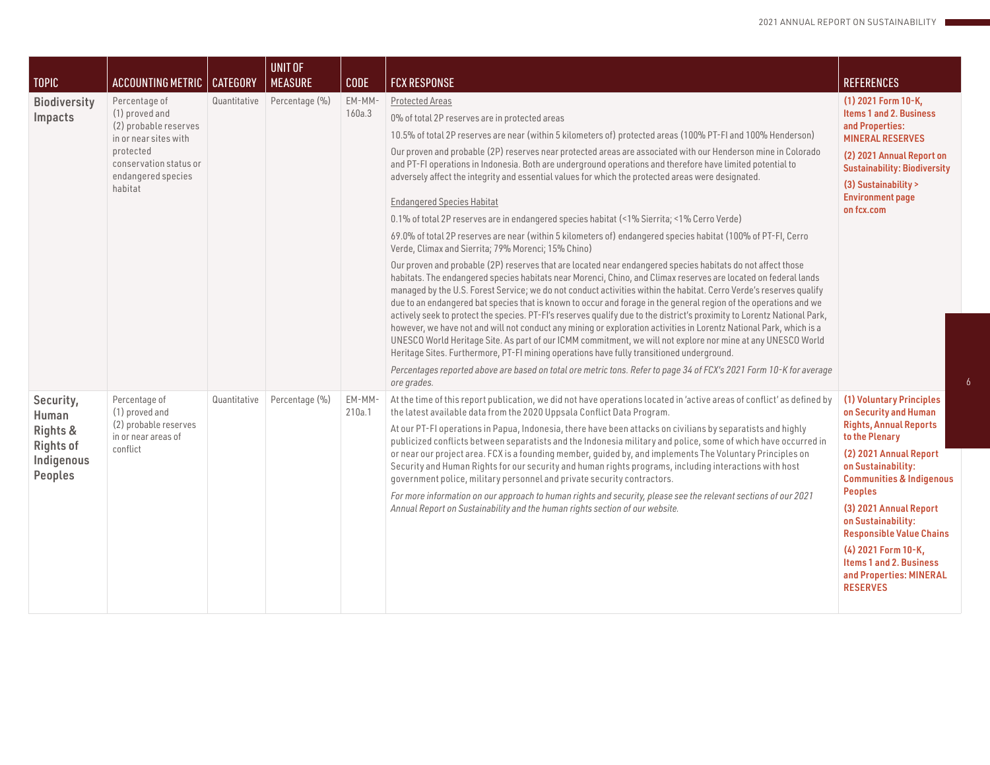| <b>TOPIC</b>                                                                       | <b>ACCOUNTING METRIC</b>                                                                                                                                  | CATEGORY     | <b>UNIT OF</b><br><b>MEASURE</b> | <b>CODE</b>      | <b>FCX RESPONSE</b>                                                                                                                                                                                                                                                                                                                                                                                                                                                                                                                                                                                                                                                                                                                                                                                                                                                                                                                                                                                                                                                                                                                                                                                                                                                                                                                                                                                                                                                                                                                                                                                                                                                                                                                                                                                                                                                                                                           | <b>REFERENCES</b>                                                                                                                                                                                                                                                                                                                                                                                |
|------------------------------------------------------------------------------------|-----------------------------------------------------------------------------------------------------------------------------------------------------------|--------------|----------------------------------|------------------|-------------------------------------------------------------------------------------------------------------------------------------------------------------------------------------------------------------------------------------------------------------------------------------------------------------------------------------------------------------------------------------------------------------------------------------------------------------------------------------------------------------------------------------------------------------------------------------------------------------------------------------------------------------------------------------------------------------------------------------------------------------------------------------------------------------------------------------------------------------------------------------------------------------------------------------------------------------------------------------------------------------------------------------------------------------------------------------------------------------------------------------------------------------------------------------------------------------------------------------------------------------------------------------------------------------------------------------------------------------------------------------------------------------------------------------------------------------------------------------------------------------------------------------------------------------------------------------------------------------------------------------------------------------------------------------------------------------------------------------------------------------------------------------------------------------------------------------------------------------------------------------------------------------------------------|--------------------------------------------------------------------------------------------------------------------------------------------------------------------------------------------------------------------------------------------------------------------------------------------------------------------------------------------------------------------------------------------------|
| <b>Biodiversity</b><br>Impacts                                                     | Percentage of<br>(1) proved and<br>(2) probable reserves<br>in or near sites with<br>protected<br>conservation status or<br>endangered species<br>habitat | Quantitative | Percentage (%)                   | EM-MM-<br>160a.3 | <b>Protected Areas</b><br>0% of total 2P reserves are in protected areas<br>10.5% of total 2P reserves are near (within 5 kilometers of) protected areas (100% PT-FI and 100% Henderson)<br>Our proven and probable (2P) reserves near protected areas are associated with our Henderson mine in Colorado<br>and PT-FI operations in Indonesia. Both are underground operations and therefore have limited potential to<br>adversely affect the integrity and essential values for which the protected areas were designated.<br><b>Endangered Species Habitat</b><br>0.1% of total 2P reserves are in endangered species habitat (<1% Sierrita; <1% Cerro Verde)<br>69.0% of total 2P reserves are near (within 5 kilometers of) endangered species habitat (100% of PT-FI, Cerro<br>Verde, Climax and Sierrita; 79% Morenci; 15% Chino)<br>Our proven and probable (2P) reserves that are located near endangered species habitats do not affect those<br>habitats. The endangered species habitats near Morenci, Chino, and Climax reserves are located on federal lands<br>managed by the U.S. Forest Service; we do not conduct activities within the habitat. Cerro Verde's reserves qualify<br>due to an endangered bat species that is known to occur and forage in the general region of the operations and we<br>actively seek to protect the species. PT-FI's reserves qualify due to the district's proximity to Lorentz National Park,<br>however, we have not and will not conduct any mining or exploration activities in Lorentz National Park, which is a<br>UNESCO World Heritage Site. As part of our ICMM commitment, we will not explore nor mine at any UNESCO World<br>Heritage Sites. Furthermore, PT-FI mining operations have fully transitioned underground.<br>Percentages reported above are based on total ore metric tons. Refer to page 34 of FCX's 2021 Form 10-K for average<br>ore grades. | (1) 2021 Form 10-K,<br>Items 1 and 2. Business<br>and Properties:<br><b>MINERAL RESERVES</b><br>(2) 2021 Annual Report on<br><b>Sustainability: Biodiversity</b><br>(3) Sustainability ><br><b>Environment page</b><br>on fcx.com                                                                                                                                                                |
| Security,<br>Human<br>Rights &<br><b>Rights of</b><br>Indigenous<br><b>Peoples</b> | Percentage of<br>(1) proved and<br>(2) probable reserves<br>in or near areas of<br>conflict                                                               | Quantitative | Percentage (%)                   | EM-MM-<br>210a.1 | At the time of this report publication, we did not have operations located in 'active areas of conflict' as defined by<br>the latest available data from the 2020 Uppsala Conflict Data Program.<br>At our PT-FI operations in Papua, Indonesia, there have been attacks on civilians by separatists and highly<br>publicized conflicts between separatists and the Indonesia military and police, some of which have occurred in<br>or near our project area. FCX is a founding member, quided by, and implements The Voluntary Principles on<br>Security and Human Rights for our security and human rights programs, including interactions with host<br>government police, military personnel and private security contractors.<br>For more information on our approach to human rights and security, please see the relevant sections of our 2021<br>Annual Report on Sustainability and the human rights section of our website.                                                                                                                                                                                                                                                                                                                                                                                                                                                                                                                                                                                                                                                                                                                                                                                                                                                                                                                                                                                        | (1) Voluntary Principles<br>on Security and Human<br><b>Rights, Annual Reports</b><br>to the Plenary<br>(2) 2021 Annual Report<br>on Sustainability:<br><b>Communities &amp; Indigenous</b><br><b>Peoples</b><br>(3) 2021 Annual Report<br>on Sustainability:<br><b>Responsible Value Chains</b><br>(4) 2021 Form 10-K,<br>Items 1 and 2. Business<br>and Properties: MINERAL<br><b>RESERVES</b> |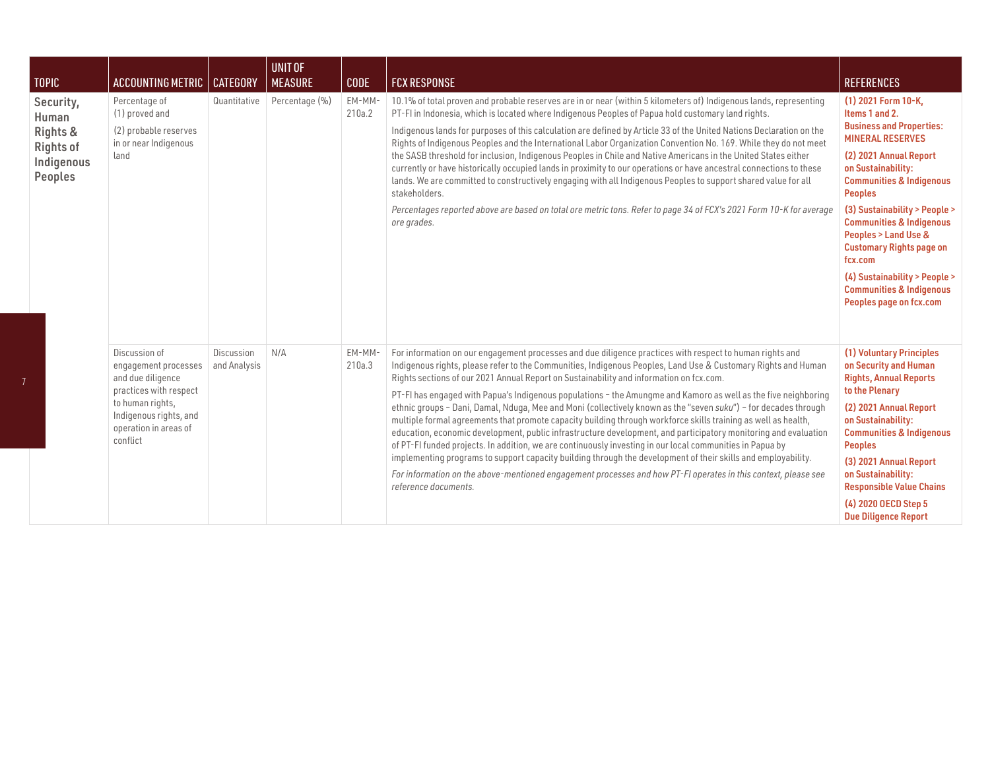| <b>TOPIC</b>                                                                | ACCOUNTING METRIC                                                                                                                                                       | <b>CATEGORY</b>            | UNIT OF<br><b>MEASURE</b> | <b>CODE</b>      | <b>FCX RESPONSE</b>                                                                                                                                                                                                                                                                                                                                                                                                                                                                                                                                                                                                                                                                                                                                                                                                                                                                                                                                                                                                                                                                                                                                                    | <b>REFERENCES</b>                                                                                                                                                                                                                                                                                                                                                                                                                                             |
|-----------------------------------------------------------------------------|-------------------------------------------------------------------------------------------------------------------------------------------------------------------------|----------------------------|---------------------------|------------------|------------------------------------------------------------------------------------------------------------------------------------------------------------------------------------------------------------------------------------------------------------------------------------------------------------------------------------------------------------------------------------------------------------------------------------------------------------------------------------------------------------------------------------------------------------------------------------------------------------------------------------------------------------------------------------------------------------------------------------------------------------------------------------------------------------------------------------------------------------------------------------------------------------------------------------------------------------------------------------------------------------------------------------------------------------------------------------------------------------------------------------------------------------------------|---------------------------------------------------------------------------------------------------------------------------------------------------------------------------------------------------------------------------------------------------------------------------------------------------------------------------------------------------------------------------------------------------------------------------------------------------------------|
| Security,<br>Human<br>Rights &<br><b>Rights of</b><br>Indigenous<br>Peoples | Percentage of<br>(1) proved and<br>(2) probable reserves<br>in or near Indigenous<br>land                                                                               | Quantitative               | Percentage (%)            | EM-MM-<br>210a.2 | 10.1% of total proven and probable reserves are in or near (within 5 kilometers of) Indigenous lands, representing<br>PT-FI in Indonesia, which is located where Indigenous Peoples of Papua hold customary land rights.<br>Indigenous lands for purposes of this calculation are defined by Article 33 of the United Nations Declaration on the<br>Rights of Indigenous Peoples and the International Labor Organization Convention No. 169. While they do not meet<br>the SASB threshold for inclusion, Indigenous Peoples in Chile and Native Americans in the United States either<br>currently or have historically occupied lands in proximity to our operations or have ancestral connections to these<br>lands. We are committed to constructively engaging with all Indigenous Peoples to support shared value for all<br>stakeholders.<br>Percentages reported above are based on total ore metric tons. Refer to page 34 of FCX's 2021 Form 10-K for average<br>ore grades.                                                                                                                                                                                 | (1) 2021 Form 10-K,<br>Items 1 and 2.<br><b>Business and Properties:</b><br><b>MINERAL RESERVES</b><br>(2) 2021 Annual Report<br>on Sustainability:<br><b>Communities &amp; Indigenous</b><br><b>Peoples</b><br>(3) Sustainability > People ><br><b>Communities &amp; Indigenous</b><br>Peoples > Land Use &<br><b>Customary Rights page on</b><br>fcx.com<br>(4) Sustainability > People ><br><b>Communities &amp; Indigenous</b><br>Peoples page on fcx.com |
|                                                                             | Discussion of<br>engagement processes<br>and due diligence<br>practices with respect<br>to human rights,<br>Indigenous rights, and<br>operation in areas of<br>conflict | Discussion<br>and Analysis | N/A                       | EM-MM-<br>210a.3 | For information on our engagement processes and due diligence practices with respect to human rights and<br>Indigenous rights, please refer to the Communities, Indigenous Peoples, Land Use & Customary Rights and Human<br>Rights sections of our 2021 Annual Report on Sustainability and information on fcx.com.<br>PT-FI has engaged with Papua's Indigenous populations - the Amungme and Kamoro as well as the five neighboring<br>ethnic groups - Dani, Damal, Nduga, Mee and Moni (collectively known as the "seven suku") - for decades through<br>multiple formal agreements that promote capacity building through workforce skills training as well as health,<br>education, economic development, public infrastructure development, and participatory monitoring and evaluation<br>of PT-FI funded projects. In addition, we are continuously investing in our local communities in Papua by<br>implementing programs to support capacity building through the development of their skills and employability.<br>For information on the above-mentioned engagement processes and how PT-FI operates in this context, please see<br>reference documents. | (1) Voluntary Principles<br>on Security and Human<br><b>Rights, Annual Reports</b><br>to the Plenary<br>(2) 2021 Annual Report<br>on Sustainability:<br><b>Communities &amp; Indigenous</b><br><b>Peoples</b><br>(3) 2021 Annual Report<br>on Sustainability:<br><b>Responsible Value Chains</b><br>(4) 2020 OECD Step 5<br><b>Due Diligence Report</b>                                                                                                       |

7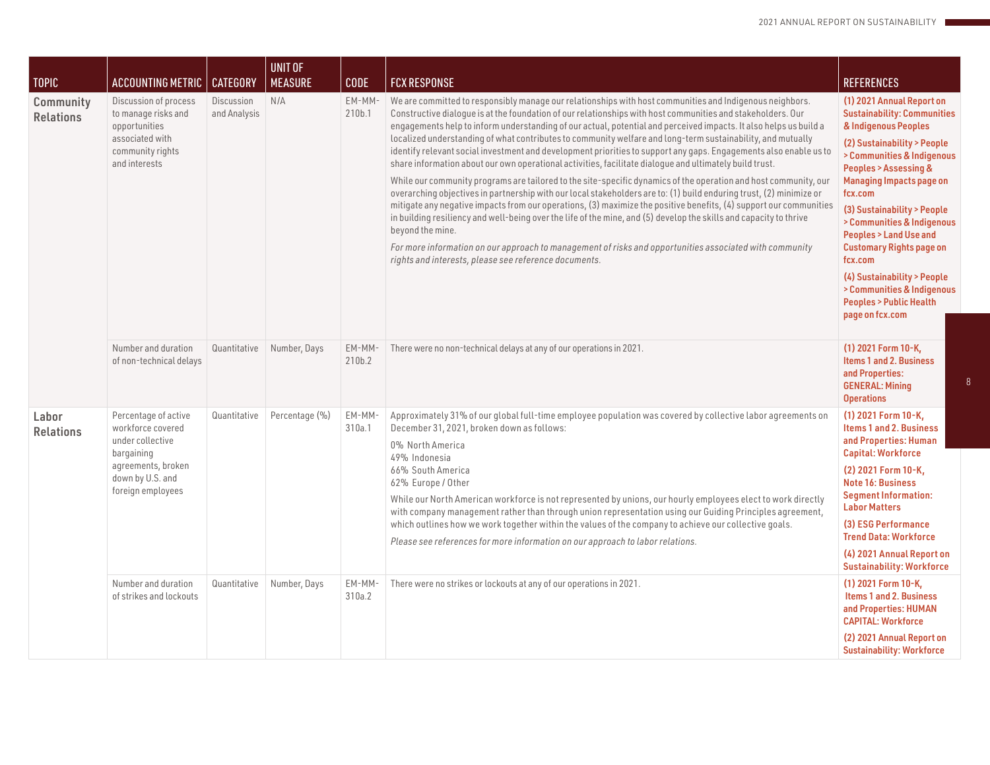| TOPIC                         | ACCOUNTING METRIC                                                                                                                          | <b>CATEGORY</b>            | <b>UNIT OF</b><br><b>MEASURE</b> | <b>CODE</b>      | <b>FCX RESPONSE</b>                                                                                                                                                                                                                                                                                                                                                                                                                                                                                                                                                                                                                                                                                                                                                                                                                                                                                                                                                                                                                                                                                                                                                                                                                                                                                                                                                        | <b>REFERENCES</b>                                                                                                                                                                                                                                                                                                                                                                                                                                                                               |
|-------------------------------|--------------------------------------------------------------------------------------------------------------------------------------------|----------------------------|----------------------------------|------------------|----------------------------------------------------------------------------------------------------------------------------------------------------------------------------------------------------------------------------------------------------------------------------------------------------------------------------------------------------------------------------------------------------------------------------------------------------------------------------------------------------------------------------------------------------------------------------------------------------------------------------------------------------------------------------------------------------------------------------------------------------------------------------------------------------------------------------------------------------------------------------------------------------------------------------------------------------------------------------------------------------------------------------------------------------------------------------------------------------------------------------------------------------------------------------------------------------------------------------------------------------------------------------------------------------------------------------------------------------------------------------|-------------------------------------------------------------------------------------------------------------------------------------------------------------------------------------------------------------------------------------------------------------------------------------------------------------------------------------------------------------------------------------------------------------------------------------------------------------------------------------------------|
| Community<br><b>Relations</b> | Discussion of process<br>to manage risks and<br>opportunities<br>associated with<br>community rights<br>and interests                      | Discussion<br>and Analysis | N/A                              | EM-MM-<br>210b.1 | We are committed to responsibly manage our relationships with host communities and Indigenous neighbors.<br>Constructive dialogue is at the foundation of our relationships with host communities and stakeholders. Our<br>engagements help to inform understanding of our actual, potential and perceived impacts. It also helps us build a<br>localized understanding of what contributes to community welfare and long-term sustainability, and mutually<br>identify relevant social investment and development priorities to support any gaps. Engagements also enable us to<br>share information about our own operational activities, facilitate dialogue and ultimately build trust.<br>While our community programs are tailored to the site-specific dynamics of the operation and host community, our<br>overarching objectives in partnership with our local stakeholders are to: (1) build enduring trust, (2) minimize or<br>mitigate any negative impacts from our operations, (3) maximize the positive benefits, (4) support our communities<br>in building resiliency and well-being over the life of the mine, and (5) develop the skills and capacity to thrive<br>beyond the mine.<br>For more information on our approach to management of risks and opportunities associated with community<br>rights and interests, please see reference documents. | (1) 2021 Annual Report on<br><b>Sustainability: Communities</b><br>& Indigenous Peoples<br>(2) Sustainability > People<br>> Communities & Indigenous<br>Peoples > Assessing &<br><b>Managing Impacts page on</b><br>fcx.com<br>(3) Sustainability > People<br>> Communities & Indigenous<br><b>Peoples &gt; Land Use and</b><br><b>Customary Rights page on</b><br>fcx.com<br>(4) Sustainability > People<br>> Communities & Indigenous<br><b>Peoples &gt; Public Health</b><br>page on fcx.com |
|                               | Number and duration<br>of non-technical delays                                                                                             | Quantitative               | Number, Days                     | EM-MM-<br>210b.2 | There were no non-technical delays at any of our operations in 2021.                                                                                                                                                                                                                                                                                                                                                                                                                                                                                                                                                                                                                                                                                                                                                                                                                                                                                                                                                                                                                                                                                                                                                                                                                                                                                                       | (1) 2021 Form 10-K,<br><b>Items 1 and 2. Business</b><br>and Properties:<br><b>GENERAL: Mining</b><br><b>Operations</b>                                                                                                                                                                                                                                                                                                                                                                         |
| Labor<br><b>Relations</b>     | Percentage of active<br>workforce covered<br>under collective<br>bargaining<br>agreements, broken<br>down by U.S. and<br>foreign employees | Quantitative               | Percentage (%)                   | EM-MM-<br>310a.1 | Approximately 31% of our global full-time employee population was covered by collective labor agreements on<br>December 31, 2021, broken down as follows:<br>0% North America<br>49% Indonesia<br>66% South America<br>62% Europe / Other<br>While our North American workforce is not represented by unions, our hourly employees elect to work directly<br>with company management rather than through union representation using our Guiding Principles agreement,<br>which outlines how we work together within the values of the company to achieve our collective goals.<br>Please see references for more information on our approach to labor relations.                                                                                                                                                                                                                                                                                                                                                                                                                                                                                                                                                                                                                                                                                                           | (1) 2021 Form 10-K,<br>Items 1 and 2. Business<br>and Properties: Human<br><b>Capital: Workforce</b><br>(2) 2021 Form 10-K,<br><b>Note 16: Business</b><br><b>Segment Information:</b><br><b>Labor Matters</b><br>(3) ESG Performance<br><b>Trend Data: Workforce</b><br>(4) 2021 Annual Report on<br><b>Sustainability: Workforce</b>                                                                                                                                                          |
|                               | Number and duration<br>of strikes and lockouts                                                                                             | Quantitative               | Number, Days                     | EM-MM-<br>310a.2 | There were no strikes or lockouts at any of our operations in 2021.                                                                                                                                                                                                                                                                                                                                                                                                                                                                                                                                                                                                                                                                                                                                                                                                                                                                                                                                                                                                                                                                                                                                                                                                                                                                                                        | (1) 2021 Form 10-K,<br>Items 1 and 2. Business<br>and Properties: HUMAN<br><b>CAPITAL: Workforce</b><br>(2) 2021 Annual Report on<br><b>Sustainability: Workforce</b>                                                                                                                                                                                                                                                                                                                           |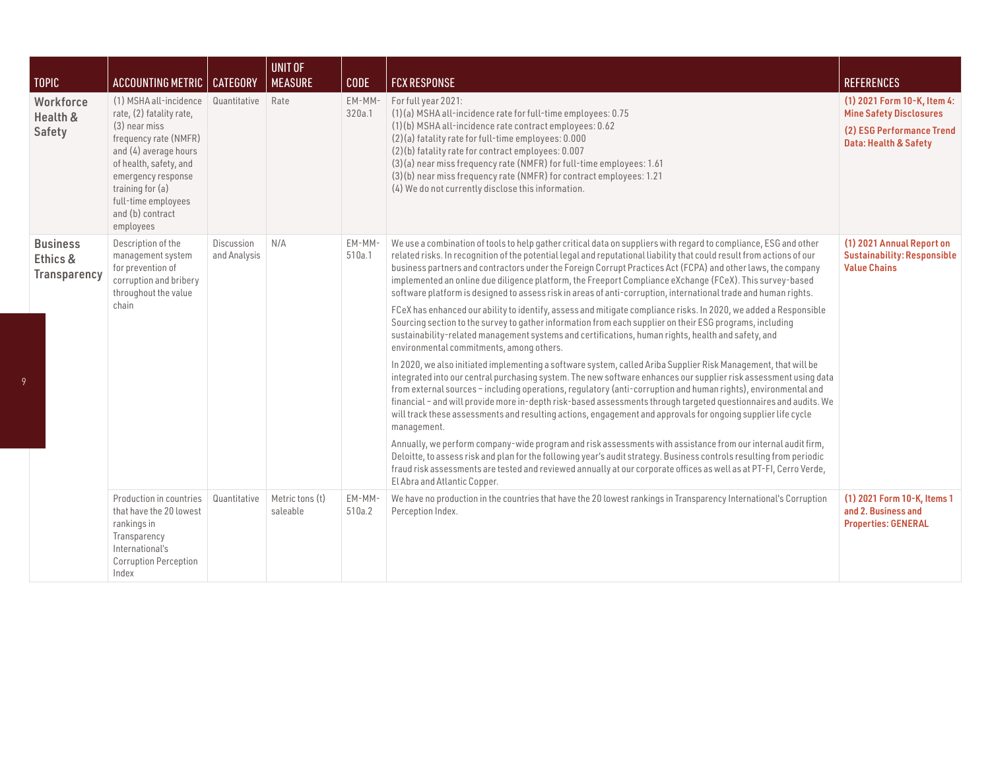| <b>TOPIC</b>                                       | <b>ACCOUNTING METRIC</b>                                                                                                                                                                                                                          | <b>CATEGORY</b>            | <b>UNIT OF</b><br><b>MEASURE</b> | <b>CODE</b>      | <b>FCX RESPONSE</b>                                                                                                                                                                                                                                                                                                                                                                                                                                                                                                                                                                                                                                                                                                                                                                                                                                                                                                                                                                                                                                                                                                                                                                                                                                                                                                                                                                                                                                                                                                                                                                                                                                                                                                                                                                                                                                                                                                                                                                 | <b>REFERENCES</b>                                                                                                   |
|----------------------------------------------------|---------------------------------------------------------------------------------------------------------------------------------------------------------------------------------------------------------------------------------------------------|----------------------------|----------------------------------|------------------|-------------------------------------------------------------------------------------------------------------------------------------------------------------------------------------------------------------------------------------------------------------------------------------------------------------------------------------------------------------------------------------------------------------------------------------------------------------------------------------------------------------------------------------------------------------------------------------------------------------------------------------------------------------------------------------------------------------------------------------------------------------------------------------------------------------------------------------------------------------------------------------------------------------------------------------------------------------------------------------------------------------------------------------------------------------------------------------------------------------------------------------------------------------------------------------------------------------------------------------------------------------------------------------------------------------------------------------------------------------------------------------------------------------------------------------------------------------------------------------------------------------------------------------------------------------------------------------------------------------------------------------------------------------------------------------------------------------------------------------------------------------------------------------------------------------------------------------------------------------------------------------------------------------------------------------------------------------------------------------|---------------------------------------------------------------------------------------------------------------------|
| Workforce<br>Health &<br>Safety                    | (1) MSHA all-incidence<br>rate, (2) fatality rate,<br>(3) near miss<br>frequency rate (NMFR)<br>and (4) average hours<br>of health, safety, and<br>emergency response<br>training for (a)<br>full-time employees<br>and (b) contract<br>employees | Quantitative               | Rate                             | EM-MM-<br>320a.1 | For full year 2021:<br>(1)(a) MSHA all-incidence rate for full-time employees: 0.75<br>(1)(b) MSHA all-incidence rate contract employees: 0.62<br>(2)(a) fatality rate for full-time employees: 0.000<br>(2)(b) fatality rate for contract employees: 0.007<br>(3)(a) near miss frequency rate (NMFR) for full-time employees: 1.61<br>(3)(b) near miss frequency rate (NMFR) for contract employees: 1.21<br>(4) We do not currently disclose this information.                                                                                                                                                                                                                                                                                                                                                                                                                                                                                                                                                                                                                                                                                                                                                                                                                                                                                                                                                                                                                                                                                                                                                                                                                                                                                                                                                                                                                                                                                                                    | (1) 2021 Form 10-K, Item 4:<br><b>Mine Safety Disclosures</b><br>(2) ESG Performance Trend<br>Data: Health & Safety |
| <b>Business</b><br>Ethics &<br><b>Transparency</b> | Description of the<br>management system<br>for prevention of<br>corruption and bribery<br>throughout the value<br>chain                                                                                                                           | Discussion<br>and Analysis | N/A                              | EM-MM-<br>510a.1 | We use a combination of tools to help gather critical data on suppliers with regard to compliance, ESG and other<br>related risks. In recognition of the potential legal and reputational liability that could result from actions of our<br>business partners and contractors under the Foreign Corrupt Practices Act (FCPA) and other laws, the company<br>implemented an online due diligence platform, the Freeport Compliance eXchange (FCeX). This survey-based<br>software platform is designed to assess risk in areas of anti-corruption, international trade and human rights.<br>FCeX has enhanced our ability to identify, assess and mitigate compliance risks. In 2020, we added a Responsible<br>Sourcing section to the survey to gather information from each supplier on their ESG programs, including<br>sustainability-related management systems and certifications, human rights, health and safety, and<br>environmental commitments, among others.<br>In 2020, we also initiated implementing a software system, called Ariba Supplier Risk Management, that will be<br>integrated into our central purchasing system. The new software enhances our supplier risk assessment using data<br>from external sources - including operations, regulatory (anti-corruption and human rights), environmental and<br>financial - and will provide more in-depth risk-based assessments through targeted questionnaires and audits. We<br>will track these assessments and resulting actions, engagement and approvals for ongoing supplier life cycle<br>management.<br>Annually, we perform company-wide program and risk assessments with assistance from our internal audit firm,<br>Deloitte, to assess risk and plan for the following year's audit strategy. Business controls resulting from periodic<br>fraud risk assessments are tested and reviewed annually at our corporate offices as well as at PT-FI, Cerro Verde,<br>El Abra and Atlantic Copper. | (1) 2021 Annual Report on<br><b>Sustainability: Responsible</b><br><b>Value Chains</b>                              |
|                                                    | Production in countries<br>that have the 20 lowest<br>rankings in<br>Transparency<br>International's<br><b>Corruption Perception</b><br>Index                                                                                                     | Quantitative               | Metric tons (t)<br>saleable      | EM-MM-<br>510a.2 | We have no production in the countries that have the 20 lowest rankings in Transparency International's Corruption<br>Perception Index.                                                                                                                                                                                                                                                                                                                                                                                                                                                                                                                                                                                                                                                                                                                                                                                                                                                                                                                                                                                                                                                                                                                                                                                                                                                                                                                                                                                                                                                                                                                                                                                                                                                                                                                                                                                                                                             | (1) 2021 Form 10-K, Items 1<br>and 2. Business and<br><b>Properties: GENERAL</b>                                    |

9